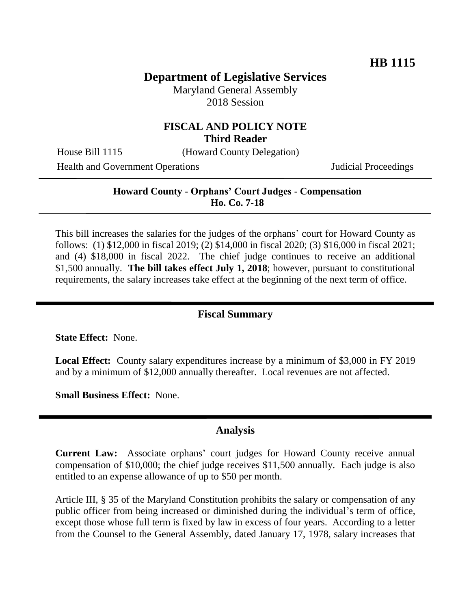# **Department of Legislative Services**

Maryland General Assembly 2018 Session

### **FISCAL AND POLICY NOTE Third Reader**

House Bill 1115 (Howard County Delegation)

Health and Government Operations Judicial Proceedings

#### **Howard County - Orphans' Court Judges - Compensation Ho. Co. 7-18**

This bill increases the salaries for the judges of the orphans' court for Howard County as follows: (1) \$12,000 in fiscal 2019; (2) \$14,000 in fiscal 2020; (3) \$16,000 in fiscal 2021; and (4) \$18,000 in fiscal 2022. The chief judge continues to receive an additional \$1,500 annually. **The bill takes effect July 1, 2018**; however, pursuant to constitutional requirements, the salary increases take effect at the beginning of the next term of office.

### **Fiscal Summary**

**State Effect:** None.

**Local Effect:** County salary expenditures increase by a minimum of \$3,000 in FY 2019 and by a minimum of \$12,000 annually thereafter. Local revenues are not affected.

**Small Business Effect:** None.

#### **Analysis**

**Current Law:** Associate orphans' court judges for Howard County receive annual compensation of \$10,000; the chief judge receives \$11,500 annually. Each judge is also entitled to an expense allowance of up to \$50 per month.

Article III, § 35 of the Maryland Constitution prohibits the salary or compensation of any public officer from being increased or diminished during the individual's term of office, except those whose full term is fixed by law in excess of four years. According to a letter from the Counsel to the General Assembly, dated January 17, 1978, salary increases that